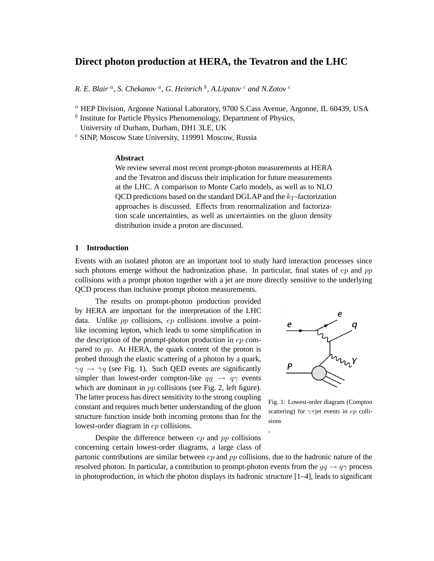# **Direct photon production at HERA, the Tevatron and the LHC**

*R. E. Blair* <sup>a</sup> *, S. Chekanov* <sup>a</sup> *, G. Heinrich* <sup>b</sup> *, A.Lipatov* <sup>c</sup> *and N.Zotov* <sup>c</sup>

 $a$  HEP Division, Argonne National Laboratory, 9700 S.Cass Avenue, Argonne, IL 60439, USA

 $<sup>b</sup>$  Institute for Particle Physics Phenomenology, Department of Physics,</sup> University of Durham, Durham, DH1 3LE, UK

 $c$  SINP, Moscow State University, 119991 Moscow, Russia

### **Abstract**

We review several most recent prompt-photon measurements at HERA and the Tevatron and discuss their implication for future measurements at the LHC. A comparison to Monte Carlo models, as well as to NLO QCD predictions based on the standard DGLAP and the  $k_T$ -factorization approaches is discussed. Effects from renormalization and factorization scale uncertainties, as well as uncertainties on the gluon density distribution inside a proton are discussed.

## **1 Introduction**

Events with an isolated photon are an important tool to study hard interaction processes since such photons emerge without the hadronization phase. In particular, final states of  $ep$  and  $pp$ collisions with a prompt photon together with a jet are more directly sensitive to the underlying QCD process than inclusive prompt photon measurements.

The results on prompt-photon production provided by HERA are important for the interpretation of the LHC data. Unlike pp collisions, ep collisions involve a pointlike incoming lepton, which leads to some simplification in the description of the prompt-photon production in ep compared to pp. At HERA, the quark content of the proton is probed through the elastic scattering of a photon by a quark,  $\gamma q \rightarrow \gamma q$  (see Fig. 1). Such QED events are significantly simpler than lowest-order compton-like  $q\bar{q} \rightarrow q\gamma$  events which are dominant in *pp* collisions (see Fig. 2, left figure). The latter process has direct sensitivity to the strong coupling constant and requires much better understanding of the gluon structure function inside both incoming protons than for the lowest-order diagram in ep collisions.



Fig. 1: Lowest-order diagram (Compton scattering) for  $\gamma$ +jet events in ep collisions

Despite the difference between  $ep$  and  $pp$  collisions concerning certain lowest-order diagrams, a large class of

partonic contributions are similar between  $ep$  and  $pp$  collisions, due to the hadronic nature of the resolved photon. In particular, a contribution to prompt-photon events from the  $q\bar{q} \rightarrow q\gamma$  process in photoproduction, in which the photon displays its hadronic structure [1–4], leads to significant

.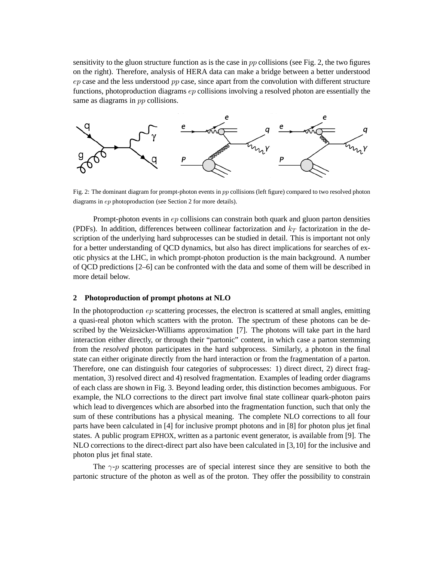sensitivity to the gluon structure function as is the case in  $pp$  collisions (see Fig. 2, the two figures on the right). Therefore, analysis of HERA data can make a bridge between a better understood  $ep$  case and the less understood  $pp$  case, since apart from the convolution with different structure functions, photoproduction diagrams ep collisions involving a resolved photon are essentially the same as diagrams in *pp* collisions.



Fig. 2: The dominant diagram for prompt-photon events in  $pp$  collisions (left figure) compared to two resolved photon diagrams in ep photoproduction (see Section 2 for more details).

Prompt-photon events in ep collisions can constrain both quark and gluon parton densities (PDFs). In addition, differences between collinear factorization and  $k_T$  factorization in the description of the underlying hard subprocesses can be studied in detail. This is important not only for a better understanding of QCD dynamics, but also has direct implications for searches of exotic physics at the LHC, in which prompt-photon production is the main background. A number of QCD predictions [2–6] can be confronted with the data and some of them will be described in more detail below.

## **2 Photoproduction of prompt photons at NLO**

In the photoproduction  $ep$  scattering processes, the electron is scattered at small angles, emitting a quasi-real photon which scatters with the proton. The spectrum of these photons can be described by the Weizsäcker-Williams approximation [7]. The photons will take part in the hard interaction either directly, or through their "partonic" content, in which case a parton stemming from the *resolved* photon participates in the hard subprocess. Similarly, a photon in the final state can either originate directly from the hard interaction or from the fragmentation of a parton. Therefore, one can distinguish four categories of subprocesses: 1) direct direct, 2) direct fragmentation, 3) resolved direct and 4) resolved fragmentation. Examples of leading order diagrams of each class are shown in Fig. 3. Beyond leading order, this distinction becomes ambiguous. For example, the NLO corrections to the direct part involve final state collinear quark-photon pairs which lead to divergences which are absorbed into the fragmentation function, such that only the sum of these contributions has a physical meaning. The complete NLO corrections to all four parts have been calculated in [4] for inclusive prompt photons and in [8] for photon plus jet final states. A public program EPHOX, written as a partonic event generator, is available from [9]. The NLO corrections to the direct-direct part also have been calculated in [3,10] for the inclusive and photon plus jet final state.

The  $\gamma$ -p scattering processes are of special interest since they are sensitive to both the partonic structure of the photon as well as of the proton. They offer the possibility to constrain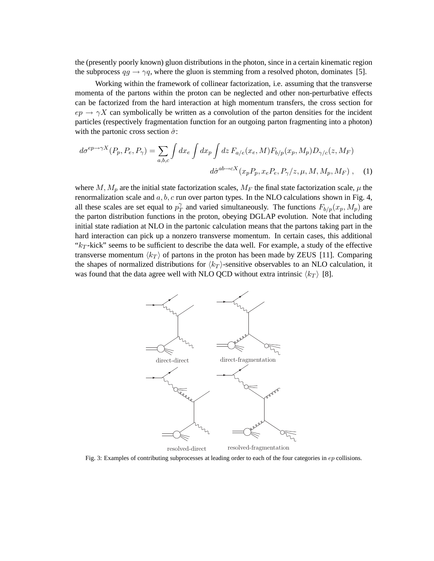the (presently poorly known) gluon distributions in the photon, since in a certain kinematic region the subprocess  $qg \to \gamma q$ , where the gluon is stemming from a resolved photon, dominates [5].

Working within the framework of collinear factorization, i.e. assuming that the transverse momenta of the partons within the proton can be neglected and other non-perturbative effects can be factorized from the hard interaction at high momentum transfers, the cross section for  $ep \rightarrow \gamma X$  can symbolically be written as a convolution of the parton densities for the incident particles (respectively fragmentation function for an outgoing parton fragmenting into a photon) with the partonic cross section  $\hat{\sigma}$ :

$$
d\sigma^{ep\rightarrow \gamma X}(P_p, P_e, P_\gamma) = \sum_{a,b,c} \int dx_e \int dx_p \int dz F_{a/e}(x_e, M) F_{b/p}(x_p, M_p) D_{\gamma/c}(z, M_F)
$$
  

$$
d\hat{\sigma}^{ab\rightarrow cX}(x_p P_p, x_e P_e, P_\gamma/z, \mu, M, M_p, M_F) , \quad (1)
$$

where M,  $M_p$  are the initial state factorization scales,  $M_F$  the final state factorization scale,  $\mu$  the renormalization scale and  $a, b, c$  run over parton types. In the NLO calculations shown in Fig. 4, all these scales are set equal to  $p_{\tau}^{\gamma}$  $T_T^{\gamma}$  and varied simultaneously. The functions  $F_{b/p}(x_p, M_p)$  are the parton distribution functions in the proton, obeying DGLAP evolution. Note that including initial state radiation at NLO in the partonic calculation means that the partons taking part in the hard interaction can pick up a nonzero transverse momentum. In certain cases, this additional " $k_T$ -kick" seems to be sufficient to describe the data well. For example, a study of the effective transverse momentum  $\langle k_T \rangle$  of partons in the proton has been made by ZEUS [11]. Comparing the shapes of normalized distributions for  $\langle k_T \rangle$ -sensitive observables to an NLO calculation, it was found that the data agree well with NLO QCD without extra intrinsic  $\langle k_T \rangle$  [8].



Fig. 3: Examples of contributing subprocesses at leading order to each of the four categories in ep collisions.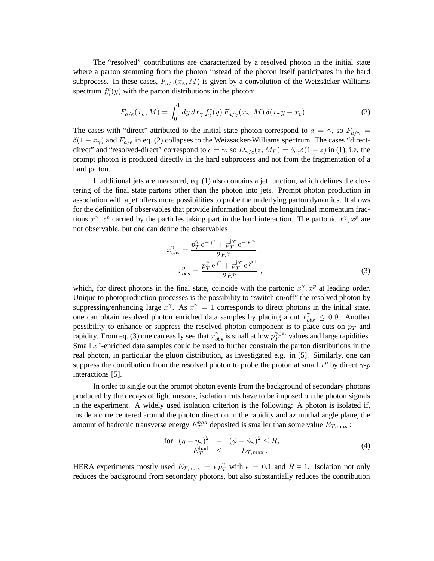The "resolved" contributions are characterized by a resolved photon in the initial state where a parton stemming from the photon instead of the photon itself participates in the hard subprocess. In these cases,  $F_{a/e}(x_e, M)$  is given by a convolution of the Weizsäcker-Williams spectrum  $f_{\gamma}^{e}(y)$  with the parton distributions in the photon:

$$
F_{a/e}(x_e, M) = \int_0^1 dy dx_\gamma f_\gamma^e(y) F_{a/\gamma}(x_\gamma, M) \delta(x_\gamma y - x_e) . \tag{2}
$$

The cases with "direct" attributed to the initial state photon correspond to  $a = \gamma$ , so  $F_{a/\gamma}$  =  $\delta(1-x_{\gamma})$  and  $F_{a/e}$  in eq. (2) collapses to the Weizsäcker-Williams spectrum. The cases "directdirect" and "resolved-direct" correspond to  $c = \gamma$ , so  $D_{\gamma/c}(z, M_F) = \delta_{c\gamma}\delta(1-z)$  in (1), i.e. the prompt photon is produced directly in the hard subprocess and not from the fragmentation of a hard parton.

If additional jets are measured, eq. (1) also contains a jet function, which defines the clustering of the final state partons other than the photon into jets. Prompt photon production in association with a jet offers more possibilities to probe the underlying parton dynamics. It allows for the definition of observables that provide information about the longitudinal momentum fractions  $x^{\gamma}$ ,  $x^{p}$  carried by the particles taking part in the hard interaction. The partonic  $x^{\gamma}$ ,  $x^{p}$  are not observable, but one can define the observables

$$
x_{obs}^{\gamma} = \frac{p_T^{\gamma} e^{-\eta^{\gamma}} + p_T^{\text{jet}} e^{-\eta^{\text{jet}}}}{2E^{\gamma}},
$$
  
\n
$$
x_{obs}^{p} = \frac{p_T^{\gamma} e^{\eta^{\gamma}} + p_T^{\text{jet}} e^{\eta^{\text{jet}}}}{2E^p},
$$
\n(3)

which, for direct photons in the final state, coincide with the partonic  $x^{\gamma}, x^{p}$  at leading order. Unique to photoproduction processes is the possibility to "switch on/off" the resolved photon by suppressing/enhancing large  $x^{\gamma}$ . As  $x^{\gamma} = 1$  corresponds to direct photons in the initial state, one can obtain resolved photon enriched data samples by placing a cut  $x_{obs}^{\gamma} \leq 0.9$ . Another possibility to enhance or suppress the resolved photon component is to place cuts on  $p_T$  and rapidity. From eq. (3) one can easily see that  $x_{obs}^{\gamma}$  is small at low  $p_T^{\gamma, \text{jet}}$  $T^{1, \text{jet}}$  values and large rapidities. Small  $x^{\gamma}$ -enriched data samples could be used to further constrain the parton distributions in the real photon, in particular the gluon distribution, as investigated e.g. in [5]. Similarly, one can suppress the contribution from the resolved photon to probe the proton at small  $x^p$  by direct  $\gamma$ - $p$ interactions [5].

In order to single out the prompt photon events from the background of secondary photons produced by the decays of light mesons, isolation cuts have to be imposed on the photon signals in the experiment. A widely used isolation criterion is the following: A photon is isolated if, inside a cone centered around the photon direction in the rapidity and azimuthal angle plane, the amount of hadronic transverse energy  $E_T^{had}$  deposited is smaller than some value  $E_{T, \text{max}}$ :

$$
\begin{array}{rcl}\n\text{for} & \left(\eta - \eta_{\gamma}\right)^{2} & + \left(\phi - \phi_{\gamma}\right)^{2} \leq R, \\
E_{T}^{\text{had}} & \leq & E_{T,\text{max}}.\n\end{array} \tag{4}
$$

HERA experiments mostly used  $E_{T,\text{max}} = \epsilon p_T^{\gamma}$  with  $\epsilon = 0.1$  and  $R = 1$ . Isolation not only reduces the background from secondary photons, but also substantially reduces the contribution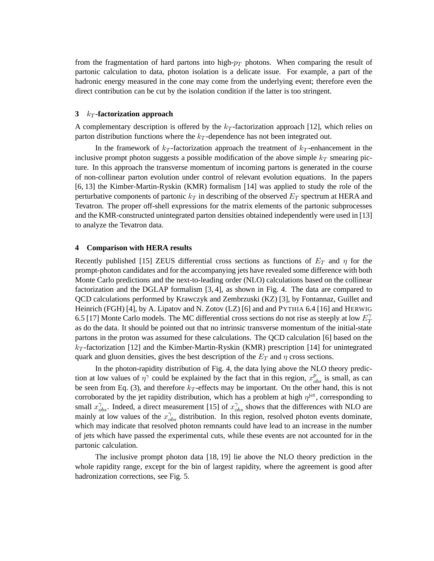from the fragmentation of hard partons into high- $p_T$  photons. When comparing the result of partonic calculation to data, photon isolation is a delicate issue. For example, a part of the hadronic energy measured in the cone may come from the underlying event; therefore even the direct contribution can be cut by the isolation condition if the latter is too stringent.

### **3**  $k_T$ **-factorization approach**

A complementary description is offered by the  $k<sub>T</sub>$ -factorization approach [12], which relies on parton distribution functions where the  $k_T$ -dependence has not been integrated out.

In the framework of  $k_T$ -factorization approach the treatment of  $k_T$ -enhancement in the inclusive prompt photon suggests a possible modification of the above simple  $k_T$  smearing picture. In this approach the transverse momentum of incoming partons is generated in the course of non-collinear parton evolution under control of relevant evolution equations. In the papers [6, 13] the Kimber-Martin-Ryskin (KMR) formalism [14] was applied to study the role of the perturbative components of partonic  $k<sub>T</sub>$  in describing of the observed  $E<sub>T</sub>$  spectrum at HERA and Tevatron. The proper off-shell expressions for the matrix elements of the partonic subprocesses and the KMR-constructed unintegrated parton densities obtained independently were used in [13] to analyze the Tevatron data.

## **4 Comparison with HERA results**

Recently published [15] ZEUS differential cross sections as functions of  $E_T$  and  $\eta$  for the prompt-photon candidates and for the accompanying jets have revealed some difference with both Monte Carlo predictions and the next-to-leading order (NLO) calculations based on the collinear factorization and the DGLAP formalism [3, 4], as shown in Fig. 4. The data are compared to QCD calculations performed by Krawczyk and Zembrzuski (KZ) [3], by Fontannaz, Guillet and Heinrich (FGH) [4], by A. Lipatov and N. Zotov (LZ) [6] and and PYTHIA 6.4 [16] and HERWIG 6.5 [17] Monte Carlo models. The MC differential cross sections do not rise as steeply at low  $E_T^{\gamma}$ T as do the data. It should be pointed out that no intrinsic transverse momentum of the initial-state partons in the proton was assumed for these calculations. The QCD calculation [6] based on the  $k_T$ -factorization [12] and the Kimber-Martin-Ryskin (KMR) prescription [14] for unintegrated quark and gluon densities, gives the best description of the  $E_T$  and  $\eta$  cross sections.

In the photon-rapidity distribution of Fig. 4, the data lying above the NLO theory prediction at low values of  $\eta^{\gamma}$  could be explained by the fact that in this region,  $x_{obs}^{p}$  is small, as can be seen from Eq. (3), and therefore  $k_T$ -effects may be important. On the other hand, this is not corroborated by the jet rapidity distribution, which has a problem at high  $\eta^{\rm jet}$ , corresponding to small  $x_{obs}^{\gamma}$ . Indeed, a direct measurement [15] of  $x_{obs}^{\gamma}$  shows that the differences with NLO are mainly at low values of the  $x_{obs}^{\gamma}$  distribution. In this region, resolved photon events dominate, which may indicate that resolved photon remnants could have lead to an increase in the number of jets which have passed the experimental cuts, while these events are not accounted for in the partonic calculation.

The inclusive prompt photon data [18, 19] lie above the NLO theory prediction in the whole rapidity range, except for the bin of largest rapidity, where the agreement is good after hadronization corrections, see Fig. 5.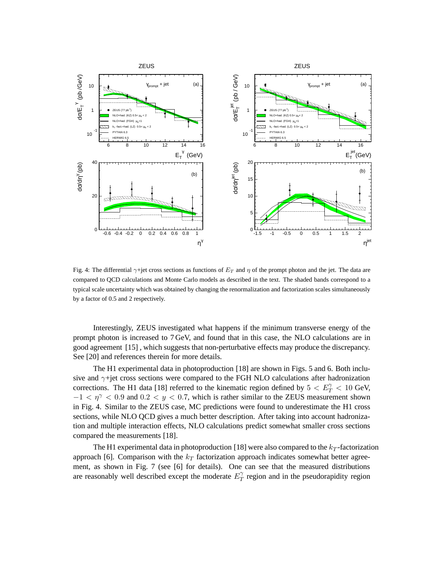

Fig. 4: The differential  $\gamma$ +jet cross sections as functions of  $E_T$  and  $\eta$  of the prompt photon and the jet. The data are compared to QCD calculations and Monte Carlo models as described in the text. The shaded bands correspond to a typical scale uncertainty which was obtained by changing the renormalization and factorization scales simultaneously by a factor of 0.5 and 2 respectively.

Interestingly, ZEUS investigated what happens if the minimum transverse energy of the prompt photon is increased to 7 GeV, and found that in this case, the NLO calculations are in good agreement [15] , which suggests that non-perturbative effects may produce the discrepancy. See [20] and references therein for more details.

The H1 experimental data in photoproduction [18] are shown in Figs. 5 and 6. Both inclusive and  $\gamma$ +jet cross sections were compared to the FGH NLO calculations after hadronization corrections. The H1 data [18] referred to the kinematic region defined by  $5 < E_T^{\gamma} < 10$  GeV,  $-1 < \eta^{\gamma} < 0.9$  and  $0.2 < y < 0.7$ , which is rather similar to the ZEUS measurement shown in Fig. 4. Similar to the ZEUS case, MC predictions were found to underestimate the H1 cross sections, while NLO QCD gives a much better description. After taking into account hadronization and multiple interaction effects, NLO calculations predict somewhat smaller cross sections compared the measurements [18].

The H1 experimental data in photoproduction [18] were also compared to the  $k_T$ -factorization approach [6]. Comparison with the  $k_T$  factorization approach indicates somewhat better agreement, as shown in Fig. 7 (see [6] for details). One can see that the measured distributions are reasonably well described except the moderate  $E_T^{\gamma}$  $T$  region and in the pseudorapidity region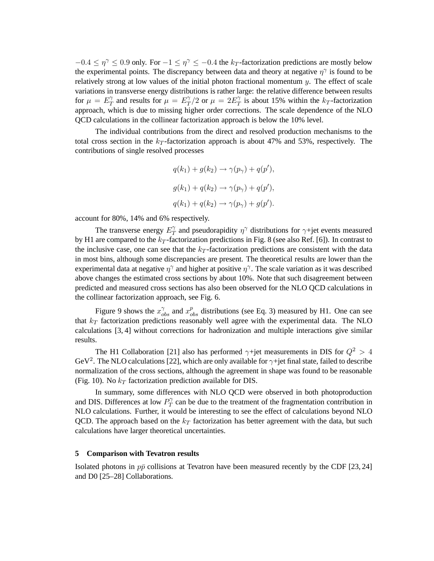$-0.4 \le \eta^{\gamma} \le 0.9$  only. For  $-1 \le \eta^{\gamma} \le -0.4$  the  $k_T$ -factorization predictions are mostly below the experimental points. The discrepancy between data and theory at negative  $\eta^{\gamma}$  is found to be relatively strong at low values of the initial photon fractional momentum  $y$ . The effect of scale variations in transverse energy distributions is rather large: the relative difference between results for  $\mu = E_T^{\gamma}$  $T_T^{\gamma}$  and results for  $\mu = E_T^{\gamma}$  $T/T/2$  or  $\mu = 2E_T^{\gamma}$  $T$  is about 15% within the  $k_T$ -factorization approach, which is due to missing higher order corrections. The scale dependence of the NLO QCD calculations in the collinear factorization approach is below the 10% level.

The individual contributions from the direct and resolved production mechanisms to the total cross section in the  $k_T$ -factorization approach is about 47% and 53%, respectively. The contributions of single resolved processes

$$
q(k_1) + g(k_2) \rightarrow \gamma(p_{\gamma}) + q(p'),
$$
  

$$
g(k_1) + q(k_2) \rightarrow \gamma(p_{\gamma}) + q(p'),
$$
  

$$
q(k_1) + q(k_2) \rightarrow \gamma(p_{\gamma}) + g(p').
$$

account for 80%, 14% and 6% respectively.

The transverse energy  $E_T^{\gamma}$  $T$  and pseudorapidity  $\eta^{\gamma}$  distributions for  $\gamma$ +jet events measured by H1 are compared to the  $k_T$ -factorization predictions in Fig. 8 (see also Ref. [6]). In contrast to the inclusive case, one can see that the  $k_T$ -factorization predictions are consistent with the data in most bins, although some discrepancies are present. The theoretical results are lower than the experimental data at negative  $\eta^{\gamma}$  and higher at positive  $\eta^{\gamma}$ . The scale variation as it was described above changes the estimated cross sections by about 10%. Note that such disagreement between predicted and measured cross sections has also been observed for the NLO QCD calculations in the collinear factorization approach, see Fig. 6.

Figure 9 shows the  $x_{obs}^{\gamma}$  and  $x_{obs}^{p}$  distributions (see Eq. 3) measured by H1. One can see that  $k_T$  factorization predictions reasonably well agree with the experimental data. The NLO calculations [3, 4] without corrections for hadronization and multiple interactions give similar results.

The H1 Collaboration [21] also has performed  $\gamma$ +jet measurements in DIS for  $Q^2 > 4$ GeV<sup>2</sup>. The NLO calculations [22], which are only available for  $\gamma$ +jet final state, failed to describe normalization of the cross sections, although the agreement in shape was found to be reasonable (Fig. 10). No  $k_T$  factorization prediction available for DIS.

In summary, some differences with NLO QCD were observed in both photoproduction and DIS. Differences at low  $P_T^{\gamma}$  $T$  can be due to the treatment of the fragmentation contribution in NLO calculations. Further, it would be interesting to see the effect of calculations beyond NLO QCD. The approach based on the  $k_T$  factorization has better agreement with the data, but such calculations have larger theoretical uncertainties.

#### **5 Comparison with Tevatron results**

Isolated photons in  $p\bar{p}$  collisions at Tevatron have been measured recently by the CDF [23, 24] and D0 [25–28] Collaborations.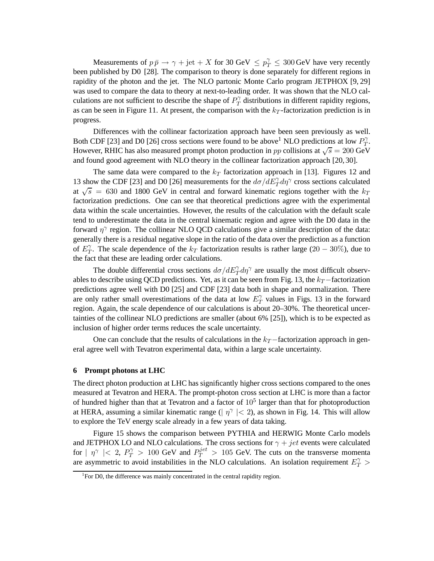Measurements of  $p \bar{p} \to \gamma + \text{jet} + X$  for 30 GeV  $\leq p_T^{\gamma} \leq 300$  GeV have very recently been published by D0 [28]. The comparison to theory is done separately for different regions in rapidity of the photon and the jet. The NLO partonic Monte Carlo program JETPHOX [9, 29] was used to compare the data to theory at next-to-leading order. It was shown that the NLO calculations are not sufficient to describe the shape of  $P_T^{\gamma}$  $T$  distributions in different rapidity regions, as can be seen in Figure 11. At present, the comparison with the  $k_T$ -factorization prediction is in progress.

Differences with the collinear factorization approach have been seen previously as well. Both CDF [23] and D0 [26] cross sections were found to be above<sup>1</sup> NLO predictions at low  $P_T^{\gamma}$  $T^{\bullet}$ However, RHIC has also measured prompt photon production in pp collisions at  $\sqrt{s} = 200 \text{ GeV}$ and found good agreement with NLO theory in the collinear factorization approach [20, 30].

The same data were compared to the  $k_T$  factorization approach in [13]. Figures 12 and 13 show the CDF [23] and D0 [26] measurements for the  $d\sigma/dE_T^{\gamma}d\eta^{\gamma}$  cross sections calculated at  $\sqrt{s}$  = 630 and 1800 GeV in central and forward kinematic regions together with the  $k_T$ factorization predictions. One can see that theoretical predictions agree with the experimental data within the scale uncertainties. However, the results of the calculation with the default scale tend to underestimate the data in the central kinematic region and agree with the D0 data in the forward  $\eta^{\gamma}$  region. The collinear NLO QCD calculations give a similar description of the data: generally there is a residual negative slope in the ratio of the data over the prediction as a function of  $E_7^{\gamma}$  $T<sub>T</sub>$ . The scale dependence of the  $k_T$  factorization results is rather large (20 – 30%), due to the fact that these are leading order calculations.

The double differential cross sections  $d\sigma/dE_T^{\gamma}d\eta^{\gamma}$  are usually the most difficult observables to describe using QCD predictions. Yet, as it can be seen from Fig. 13, the  $k_T$  –factorization predictions agree well with D0 [25] and CDF [23] data both in shape and normalization. There are only rather small overestimations of the data at low  $E_T^{\gamma}$  $T$  values in Figs. 13 in the forward region. Again, the scale dependence of our calculations is about 20–30%. The theoretical uncertainties of the collinear NLO predictions are smaller (about 6% [25]), which is to be expected as inclusion of higher order terms reduces the scale uncertainty.

One can conclude that the results of calculations in the  $k_T$  −factorization approach in general agree well with Tevatron experimental data, within a large scale uncertainty.

### **6 Prompt photons at LHC**

The direct photon production at LHC has significantly higher cross sections compared to the ones measured at Tevatron and HERA. The prompt-photon cross section at LHC is more than a factor of hundred higher than that at Tevatron and a factor of  $10<sup>5</sup>$  larger than that for photoproduction at HERA, assuming a similar kinematic range ( $|\eta^{\gamma}|$  < 2), as shown in Fig. 14. This will allow to explore the TeV energy scale already in a few years of data taking.

Figure 15 shows the comparison between PYTHIA and HERWIG Monte Carlo models and JETPHOX LO and NLO calculations. The cross sections for  $\gamma + jet$  events were calculated for  $|\eta^{\gamma}| < 2$ ,  $P_T^{\gamma} > 100$  GeV and  $P_T^{jet} > 105$  GeV. The cuts on the transverse momenta are asymmetric to avoid instabilities in the NLO calculations. An isolation requirement  $E_T^{\gamma}$  >

<sup>&</sup>lt;sup>1</sup>For D0, the difference was mainly concentrated in the central rapidity region.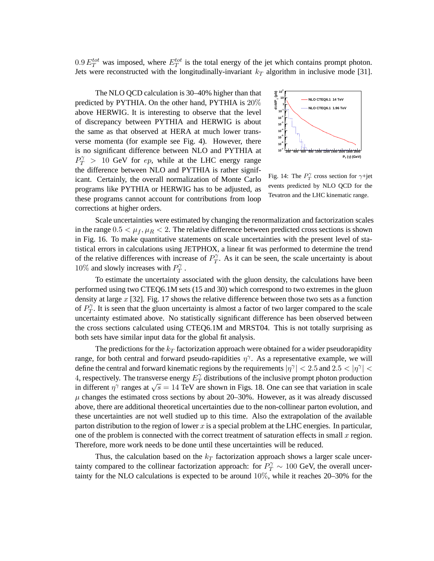0.9  $E_T^{tot}$  was imposed, where  $E_T^{tot}$  is the total energy of the jet which contains prompt photon. Jets were reconstructed with the longitudinally-invariant  $k_T$  algorithm in inclusive mode [31].

The NLO QCD calculation is 30–40% higher than that predicted by PYTHIA. On the other hand, PYTHIA is 20% above HERWIG. It is interesting to observe that the level of discrepancy between PYTHIA and HERWIG is about the same as that observed at HERA at much lower transverse momenta (for example see Fig. 4). However, there is no significant difference between NLO and PYTHIA at  $P_T^{\gamma}$  > 10 GeV for *ep*, while at the LHC energy range the difference between NLO and PYTHIA is rather significant. Certainly, the overall normalization of Monte Carlo programs like PYTHIA or HERWIG has to be adjusted, as these programs cannot account for contributions from loop corrections at higher orders.



Fig. 14: The  $P_T^{\gamma}$  cross section for  $\gamma$ +jet events predicted by NLO QCD for the Tevatron and the LHC kinematic range.

Scale uncertainties were estimated by changing the renormalization and factorization scales in the range  $0.5 < \mu_f, \mu_R < 2$ . The relative difference between predicted cross sections is shown in Fig. 16. To make quantitative statements on scale uncertainties with the present level of statistical errors in calculations using JETPHOX, a linear fit was performed to determine the trend of the relative differences with increase of  $P_T^{\gamma}$  $T<sup>2</sup>$ . As it can be seen, the scale uncertainty is about 10% and slowly increases with  $P_T^{\gamma}$  $T \cdot$ 

To estimate the uncertainty associated with the gluon density, the calculations have been performed using two CTEQ6.1M sets (15 and 30) which correspond to two extremes in the gluon density at large  $x$  [32]. Fig. 17 shows the relative difference between those two sets as a function of  $P_T^{\gamma}$  $T$ . It is seen that the gluon uncertainty is almost a factor of two larger compared to the scale uncertainty estimated above. No statistically significant difference has been observed between the cross sections calculated using CTEQ6.1M and MRST04. This is not totally surprising as both sets have similar input data for the global fit analysis.

The predictions for the  $k_T$  factorization approach were obtained for a wider pseudorapidity range, for both central and forward pseudo-rapidities  $\eta^{\gamma}$ . As a representative example, we will define the central and forward kinematic regions by the requirements  $|\eta^{\gamma}| < 2.5$  and  $2.5 < |\eta^{\gamma}| < 1$ 4, respectively. The transverse energy  $E_T^{\gamma}$  $T_T^{\gamma}$  distributions of the inclusive prompt photon production in different  $\eta^{\gamma}$  ranges at  $\sqrt{s} = 14$  TeV are shown in Figs. 18. One can see that variation in scale  $\mu$  changes the estimated cross sections by about 20–30%. However, as it was already discussed above, there are additional theoretical uncertainties due to the non-collinear parton evolution, and these uncertainties are not well studied up to this time. Also the extrapolation of the available parton distribution to the region of lower x is a special problem at the LHC energies. In particular, one of the problem is connected with the correct treatment of saturation effects in small  $x$  region. Therefore, more work needs to be done until these uncertainties will be reduced.

Thus, the calculation based on the  $k_T$  factorization approach shows a larger scale uncertainty compared to the collinear factorization approach: for  $P_T^{\gamma} \sim 100$  GeV, the overall uncertainty for the NLO calculations is expected to be around 10%, while it reaches 20–30% for the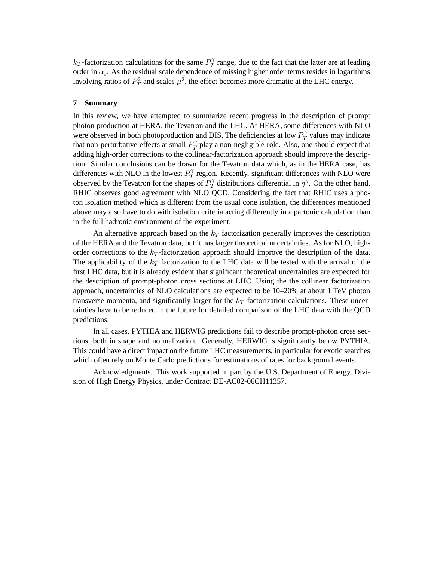$k_T$ -factorization calculations for the same  $P_T^{\gamma}$  $T$  range, due to the fact that the latter are at leading order in  $\alpha_s$ . As the residual scale dependence of missing higher order terms resides in logarithms involving ratios of  $P_T^2$  and scales  $\mu^2$ , the effect becomes more dramatic at the LHC energy.

## **7 Summary**

In this review, we have attempted to summarize recent progress in the description of prompt photon production at HERA, the Tevatron and the LHC. At HERA, some differences with NLO were observed in both photoproduction and DIS. The deficiencies at low  $P_T^{\gamma}$  values may indicate were observed in both photoproduction and DIS. The deficiencies at low  $T_T$  that non-perturbative effects at small  $P_T^{\gamma}$  play a non-negligible role. Also, or  $T_T^{\gamma}$  play a non-negligible role. Also, one should expect that adding high-order corrections to the collinear-factorization approach should improve the description. Similar conclusions can be drawn for the Tevatron data which, as in the HERA case, has differences with NLO in the lowest  $P_T^{\gamma}$  $T_T^{\gamma}$  region. Recently, significant differences with NLO were observed by the Tevatron for the shapes of  $P_T^{\gamma}$  $\gamma_{T}^{\gamma}$  distributions differential in  $\eta^{\gamma}$ . On the other hand, RHIC observes good agreement with NLO QCD. Considering the fact that RHIC uses a photon isolation method which is different from the usual cone isolation, the differences mentioned above may also have to do with isolation criteria acting differently in a partonic calculation than in the full hadronic environment of the experiment.

An alternative approach based on the  $k_T$  factorization generally improves the description of the HERA and the Tevatron data, but it has larger theoretical uncertainties. As for NLO, highorder corrections to the  $k_T$ -factorization approach should improve the description of the data. The applicability of the  $k_T$  factorization to the LHC data will be tested with the arrival of the first LHC data, but it is already evident that significant theoretical uncertainties are expected for the description of prompt-photon cross sections at LHC. Using the the collinear factorization approach, uncertainties of NLO calculations are expected to be 10–20% at about 1 TeV photon transverse momenta, and significantly larger for the  $k_T$ -factorization calculations. These uncertainties have to be reduced in the future for detailed comparison of the LHC data with the QCD predictions.

In all cases, PYTHIA and HERWIG predictions fail to describe prompt-photon cross sections, both in shape and normalization. Generally, HERWIG is significantly below PYTHIA. This could have a direct impact on the future LHC measurements, in particular for exotic searches which often rely on Monte Carlo predictions for estimations of rates for background events.

Acknowledgments. This work supported in part by the U.S. Department of Energy, Division of High Energy Physics, under Contract DE-AC02-06CH11357.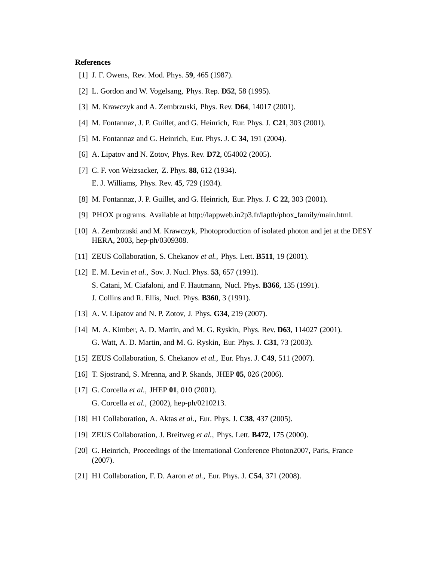## **References**

- [1] J. F. Owens, Rev. Mod. Phys. **59**, 465 (1987).
- [2] L. Gordon and W. Vogelsang, Phys. Rep. **D52**, 58 (1995).
- [3] M. Krawczyk and A. Zembrzuski, Phys. Rev. **D64**, 14017 (2001).
- [4] M. Fontannaz, J. P. Guillet, and G. Heinrich, Eur. Phys. J. **C21**, 303 (2001).
- [5] M. Fontannaz and G. Heinrich, Eur. Phys. J. **C 34**, 191 (2004).
- [6] A. Lipatov and N. Zotov, Phys. Rev. **D72**, 054002 (2005).
- [7] C. F. von Weizsacker, Z. Phys. **88**, 612 (1934). E. J. Williams, Phys. Rev. **45**, 729 (1934).
- [8] M. Fontannaz, J. P. Guillet, and G. Heinrich, Eur. Phys. J. **C 22**, 303 (2001).
- [9] PHOX programs. Available at http://lappweb.in2p3.fr/lapth/phox family/main.html.
- [10] A. Zembrzuski and M. Krawczyk, Photoproduction of isolated photon and jet at the DESY HERA, 2003, hep-ph/0309308.
- [11] ZEUS Collaboration, S. Chekanov *et al.*, Phys. Lett. **B511**, 19 (2001).
- [12] E. M. Levin *et al.*, Sov. J. Nucl. Phys. **53**, 657 (1991). S. Catani, M. Ciafaloni, and F. Hautmann, Nucl. Phys. **B366**, 135 (1991). J. Collins and R. Ellis, Nucl. Phys. **B360**, 3 (1991).
- [13] A. V. Lipatov and N. P. Zotov, J. Phys. **G34**, 219 (2007).
- [14] M. A. Kimber, A. D. Martin, and M. G. Ryskin, Phys. Rev. **D63**, 114027 (2001). G. Watt, A. D. Martin, and M. G. Ryskin, Eur. Phys. J. **C31**, 73 (2003).
- [15] ZEUS Collaboration, S. Chekanov *et al.*, Eur. Phys. J. **C49**, 511 (2007).
- [16] T. Sjostrand, S. Mrenna, and P. Skands, JHEP **05**, 026 (2006).
- [17] G. Corcella *et al.*, JHEP **01**, 010 (2001). G. Corcella *et al.*, (2002), hep-ph/0210213.
- [18] H1 Collaboration, A. Aktas *et al.*, Eur. Phys. J. **C38**, 437 (2005).
- [19] ZEUS Collaboration, J. Breitweg *et al.*, Phys. Lett. **B472**, 175 (2000).
- [20] G. Heinrich, Proceedings of the International Conference Photon2007, Paris, France (2007).
- [21] H1 Collaboration, F. D. Aaron *et al.*, Eur. Phys. J. **C54**, 371 (2008).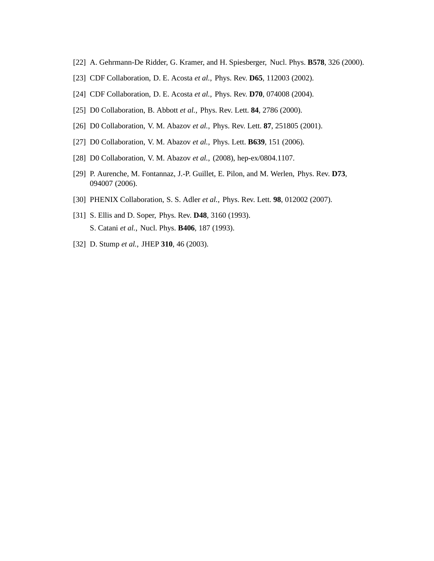- [22] A. Gehrmann-De Ridder, G. Kramer, and H. Spiesberger, Nucl. Phys. **B578**, 326 (2000).
- [23] CDF Collaboration, D. E. Acosta *et al.*, Phys. Rev. **D65**, 112003 (2002).
- [24] CDF Collaboration, D. E. Acosta *et al.*, Phys. Rev. **D70**, 074008 (2004).
- [25] D0 Collaboration, B. Abbott *et al.*, Phys. Rev. Lett. **84**, 2786 (2000).
- [26] D0 Collaboration, V. M. Abazov *et al.*, Phys. Rev. Lett. **87**, 251805 (2001).
- [27] D0 Collaboration, V. M. Abazov *et al.*, Phys. Lett. **B639**, 151 (2006).
- [28] D0 Collaboration, V. M. Abazov *et al.*, (2008), hep-ex/0804.1107.
- [29] P. Aurenche, M. Fontannaz, J.-P. Guillet, E. Pilon, and M. Werlen, Phys. Rev. **D73**, 094007 (2006).
- [30] PHENIX Collaboration, S. S. Adler *et al.*, Phys. Rev. Lett. **98**, 012002 (2007).
- [31] S. Ellis and D. Soper, Phys. Rev. **D48**, 3160 (1993). S. Catani *et al.*, Nucl. Phys. **B406**, 187 (1993).
- [32] D. Stump *et al.*, JHEP **310**, 46 (2003).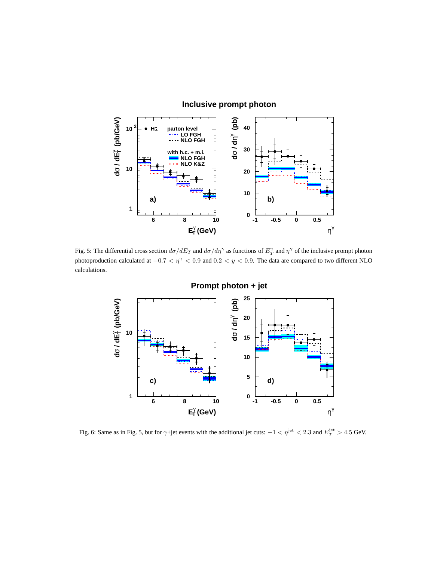

## Fig. 5: The differential cross section  $d\sigma/dE_T$  and  $d\sigma/d\eta^\gamma$  as functions of  $E_T^\gamma$  and  $\eta^\gamma$  of the inclusive prompt photon photoproduction calculated at  $-0.7 < \eta^{\gamma} < 0.9$  and  $0.2 < y < 0.9$ . The data are compared to two different NLO calculations.



**Prompt photon + jet**

Fig. 6: Same as in Fig. 5, but for  $\gamma$ +jet events with the additional jet cuts:  $-1 < \eta^{\text{jet}} < 2.3$  and  $E_T^{\text{jet}} > 4.5$  GeV.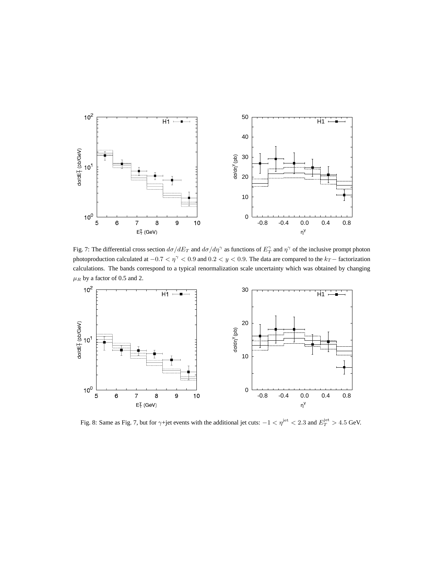

Fig. 7: The differential cross section  $d\sigma/dE_T$  and  $d\sigma/d\eta^\gamma$  as functions of  $E_T^\gamma$  and  $\eta^\gamma$  of the inclusive prompt photon photoproduction calculated at  $-0.7 < \eta^{\gamma} < 0.9$  and  $0.2 < y < 0.9$ . The data are compared to the  $k_T$  – factorization calculations. The bands correspond to a typical renormalization scale uncertainty which was obtained by changing  $\mu_R$  by a factor of 0.5 and 2.



Fig. 8: Same as Fig. 7, but for  $\gamma$ +jet events with the additional jet cuts:  $-1 < \eta^{\text{jet}} < 2.3$  and  $E_T^{\text{jet}} > 4.5$  GeV.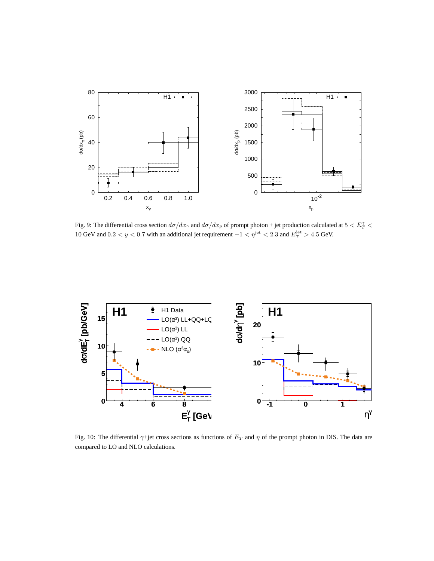

Fig. 9: The differential cross section  $d\sigma/dx_\gamma$  and  $d\sigma/dx_p$  of prompt photon + jet production calculated at  $5 < E_T^\gamma <$ 10 GeV and  $0.2 < y < 0.7$  with an additional jet requirement  $-1 < \eta^{\text{jet}} < 2.3$  and  $E_T^{\text{jet}} > 4.5$  GeV.



Fig. 10: The differential  $\gamma$ +jet cross sections as functions of  $E_T$  and  $\eta$  of the prompt photon in DIS. The data are compared to LO and NLO calculations.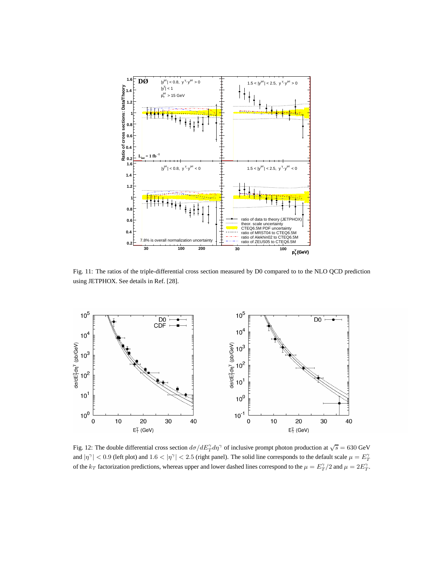

Fig. 11: The ratios of the triple-differential cross section measured by D0 compared to to the NLO QCD prediction using JETPHOX. See details in Ref. [28].



Fig. 12: The double differential cross section  $d\sigma/dE_T^{\gamma}d\eta^{\gamma}$  of inclusive prompt photon production at  $\sqrt{s} = 630$  GeV and  $|\eta^{\gamma}|$  < 0.9 (left plot) and 1.6 <  $|\eta^{\gamma}|$  < 2.5 (right panel). The solid line corresponds to the default scale  $\mu = E_T^{\gamma}$ of the  $k_T$  factorization predictions, whereas upper and lower dashed lines correspond to the  $\mu = E_T^{\gamma}/2$  and  $\mu = 2E_T^{\gamma}$ .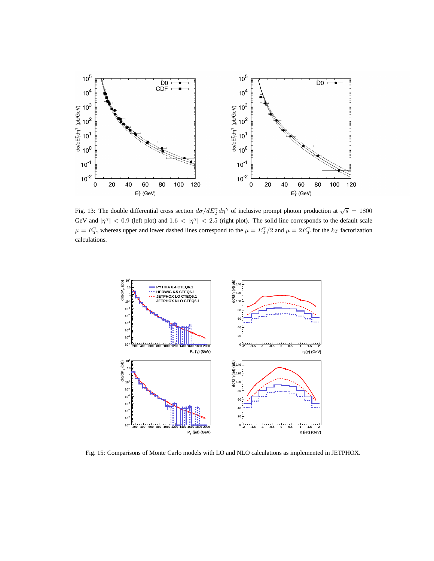

Fig. 13: The double differential cross section  $d\sigma/dE_T^{\gamma}d\eta^{\gamma}$  of inclusive prompt photon production at  $\sqrt{s} = 1800$ GeV and  $|\eta^{\gamma}|$  < 0.9 (left plot) and 1.6 <  $|\eta^{\gamma}|$  < 2.5 (right plot). The solid line corresponds to the default scale  $\mu = E_T^{\gamma}$ , whereas upper and lower dashed lines correspond to the  $\mu = E_T^{\gamma}/2$  and  $\mu = 2E_T^{\gamma}$  for the  $k_T$  factorization calculations.



Fig. 15: Comparisons of Monte Carlo models with LO and NLO calculations as implemented in JETPHOX.